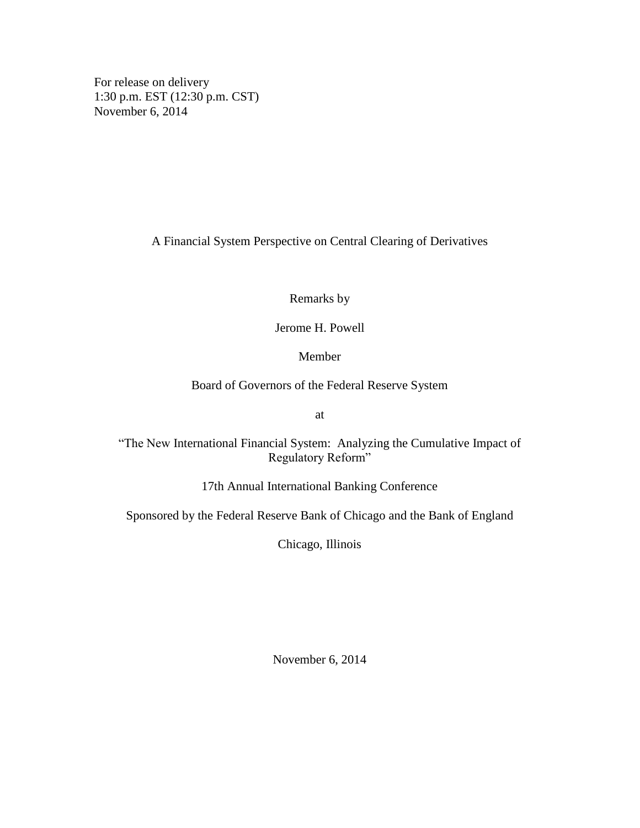For release on delivery 1:30 p.m. EST (12:30 p.m. CST) November 6, 2014

A Financial System Perspective on Central Clearing of Derivatives

Remarks by

Jerome H. Powell

Member

Board of Governors of the Federal Reserve System

at

"The New International Financial System: Analyzing the Cumulative Impact of Regulatory Reform"

17th Annual International Banking Conference

Sponsored by the Federal Reserve Bank of Chicago and the Bank of England

Chicago, Illinois

November 6, 2014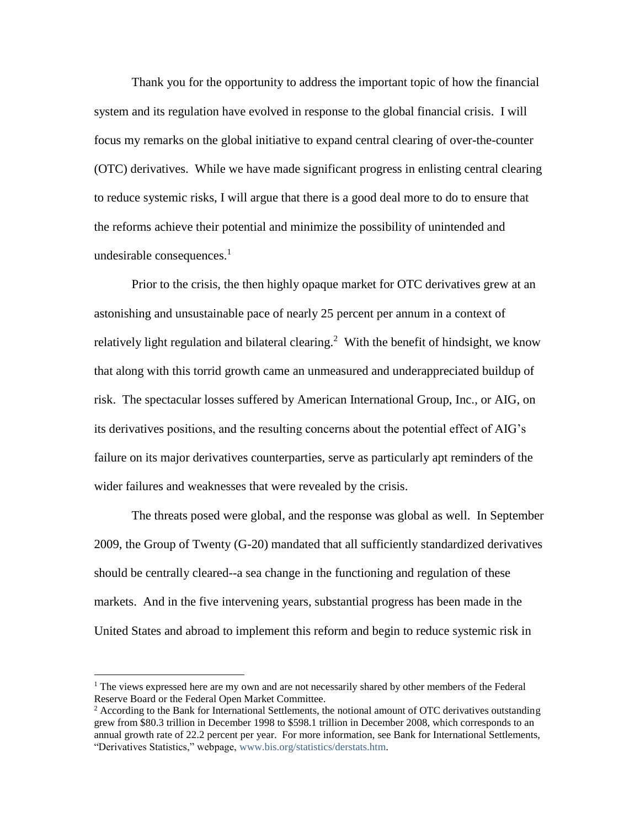Thank you for the opportunity to address the important topic of how the financial system and its regulation have evolved in response to the global financial crisis. I will focus my remarks on the global initiative to expand central clearing of over-the-counter (OTC) derivatives. While we have made significant progress in enlisting central clearing to reduce systemic risks, I will argue that there is a good deal more to do to ensure that the reforms achieve their potential and minimize the possibility of unintended and undesirable consequences. $<sup>1</sup>$ </sup>

Prior to the crisis, the then highly opaque market for OTC derivatives grew at an astonishing and unsustainable pace of nearly 25 percent per annum in a context of relatively light regulation and bilateral clearing.<sup>2</sup> With the benefit of hindsight, we know that along with this torrid growth came an unmeasured and underappreciated buildup of risk. The spectacular losses suffered by American International Group, Inc., or AIG, on its derivatives positions, and the resulting concerns about the potential effect of AIG's failure on its major derivatives counterparties, serve as particularly apt reminders of the wider failures and weaknesses that were revealed by the crisis.

The threats posed were global, and the response was global as well. In September 2009, the Group of Twenty (G-20) mandated that all sufficiently standardized derivatives should be centrally cleared--a sea change in the functioning and regulation of these markets. And in the five intervening years, substantial progress has been made in the United States and abroad to implement this reform and begin to reduce systemic risk in

 $\overline{a}$ 

 $<sup>1</sup>$  The views expressed here are my own and are not necessarily shared by other members of the Federal</sup> Reserve Board or the Federal Open Market Committee.

 $2$  According to the Bank for International Settlements, the notional amount of OTC derivatives outstanding grew from \$80.3 trillion in December 1998 to \$598.1 trillion in December 2008, which corresponds to an annual growth rate of 22.2 percent per year. For more information, see Bank for International Settlements, "Derivatives Statistics," webpage, [www.bis.org/statistics/derstats.htm.](http://www.bis.org/statistics/derstats.htm)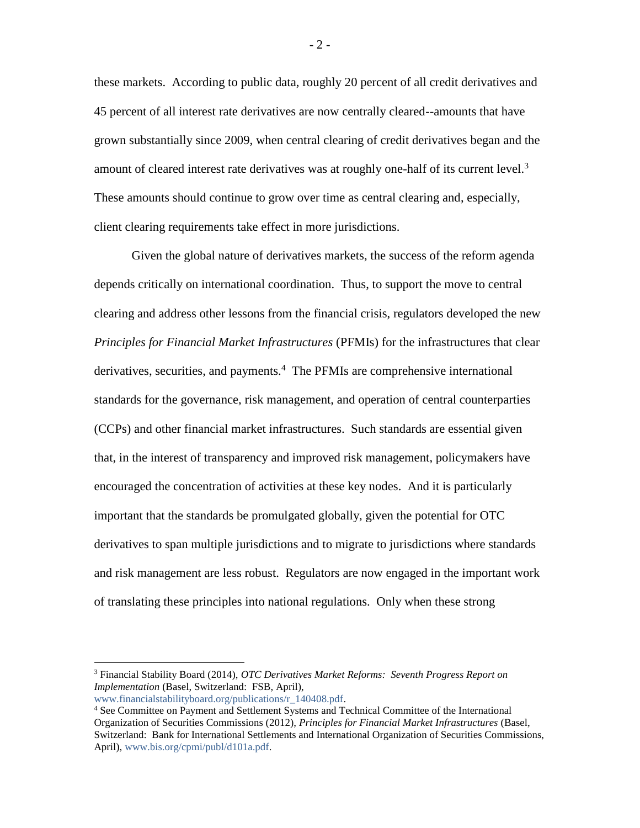these markets. According to public data, roughly 20 percent of all credit derivatives and 45 percent of all interest rate derivatives are now centrally cleared--amounts that have grown substantially since 2009, when central clearing of credit derivatives began and the amount of cleared interest rate derivatives was at roughly one-half of its current level.<sup>3</sup> These amounts should continue to grow over time as central clearing and, especially, client clearing requirements take effect in more jurisdictions.

Given the global nature of derivatives markets, the success of the reform agenda depends critically on international coordination. Thus, to support the move to central clearing and address other lessons from the financial crisis, regulators developed the new *Principles for Financial Market Infrastructures* (PFMIs) for the infrastructures that clear derivatives, securities, and payments.<sup>4</sup> The PFMIs are comprehensive international standards for the governance, risk management, and operation of central counterparties (CCPs) and other financial market infrastructures. Such standards are essential given that, in the interest of transparency and improved risk management, policymakers have encouraged the concentration of activities at these key nodes. And it is particularly important that the standards be promulgated globally, given the potential for OTC derivatives to span multiple jurisdictions and to migrate to jurisdictions where standards and risk management are less robust. Regulators are now engaged in the important work of translating these principles into national regulations. Only when these strong

 $\overline{a}$ 

 $-2-$ 

<sup>3</sup> Financial Stability Board (2014), *OTC Derivatives Market Reforms: Seventh Progress Report on Implementation* (Basel, Switzerland: FSB, April), [www.financialstabilityboard.org/publications/r\\_140408.pdf.](http://www.financialstabilityboard.org/publications/r_140408.pdf)

<sup>4</sup> See Committee on Payment and Settlement Systems and Technical Committee of the International Organization of Securities Commissions (2012), *Principles for Financial Market Infrastructures* (Basel, Switzerland: Bank for International Settlements and International Organization of Securities Commissions, April), [www.bis.org/cpmi/publ/d101a.pdf.](http://www.bis.org/cpmi/publ/d101a.pdf)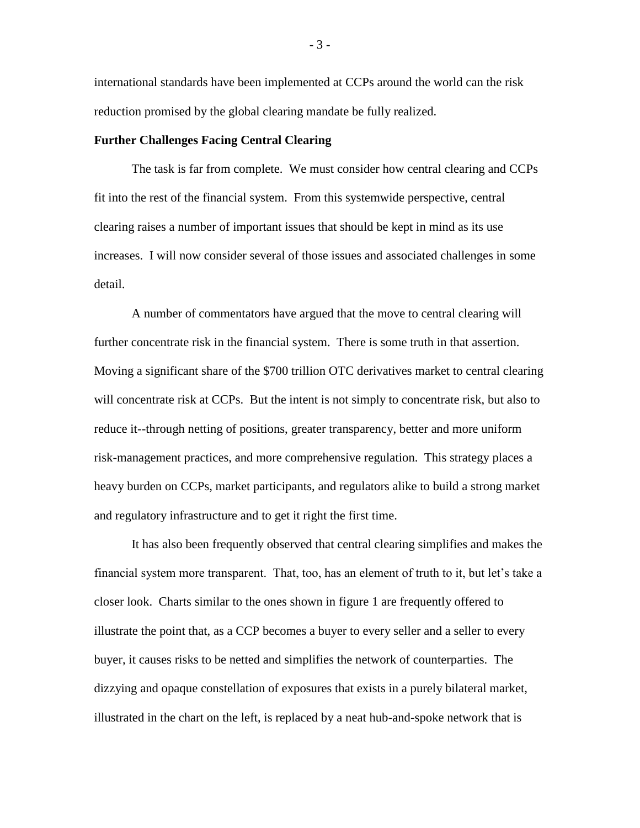international standards have been implemented at CCPs around the world can the risk reduction promised by the global clearing mandate be fully realized.

## **Further Challenges Facing Central Clearing**

The task is far from complete. We must consider how central clearing and CCPs fit into the rest of the financial system. From this systemwide perspective, central clearing raises a number of important issues that should be kept in mind as its use increases. I will now consider several of those issues and associated challenges in some detail.

A number of commentators have argued that the move to central clearing will further concentrate risk in the financial system. There is some truth in that assertion. Moving a significant share of the \$700 trillion OTC derivatives market to central clearing will concentrate risk at CCPs. But the intent is not simply to concentrate risk, but also to reduce it--through netting of positions, greater transparency, better and more uniform risk-management practices, and more comprehensive regulation. This strategy places a heavy burden on CCPs, market participants, and regulators alike to build a strong market and regulatory infrastructure and to get it right the first time.

It has also been frequently observed that central clearing simplifies and makes the financial system more transparent. That, too, has an element of truth to it, but let's take a closer look. Charts similar to the ones shown in figure 1 are frequently offered to illustrate the point that, as a CCP becomes a buyer to every seller and a seller to every buyer, it causes risks to be netted and simplifies the network of counterparties. The dizzying and opaque constellation of exposures that exists in a purely bilateral market, illustrated in the chart on the left, is replaced by a neat hub-and-spoke network that is

- 3 -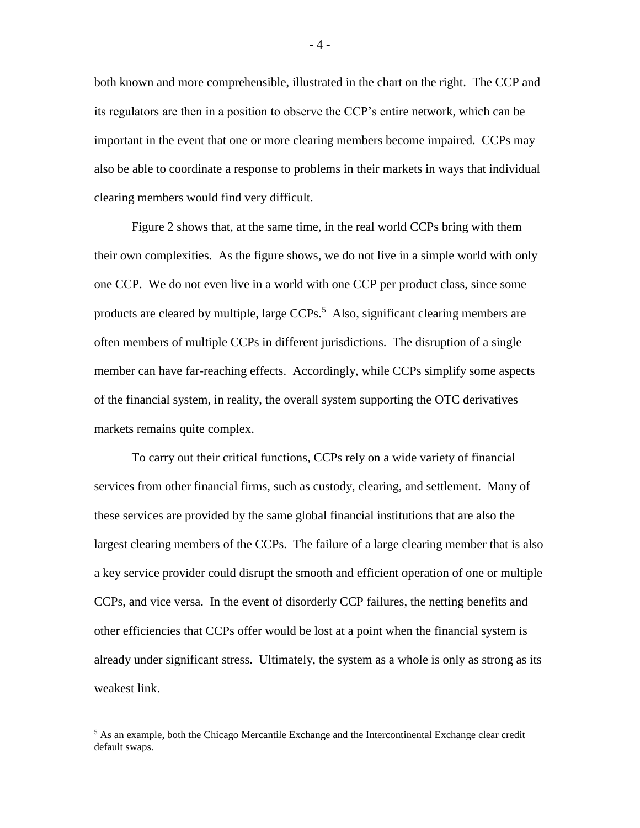both known and more comprehensible, illustrated in the chart on the right. The CCP and its regulators are then in a position to observe the CCP's entire network, which can be important in the event that one or more clearing members become impaired. CCPs may also be able to coordinate a response to problems in their markets in ways that individual clearing members would find very difficult.

Figure 2 shows that, at the same time, in the real world CCPs bring with them their own complexities. As the figure shows, we do not live in a simple world with only one CCP. We do not even live in a world with one CCP per product class, since some products are cleared by multiple, large  $CCPs$ <sup>5</sup> Also, significant clearing members are often members of multiple CCPs in different jurisdictions. The disruption of a single member can have far-reaching effects. Accordingly, while CCPs simplify some aspects of the financial system, in reality, the overall system supporting the OTC derivatives markets remains quite complex.

To carry out their critical functions, CCPs rely on a wide variety of financial services from other financial firms, such as custody, clearing, and settlement. Many of these services are provided by the same global financial institutions that are also the largest clearing members of the CCPs. The failure of a large clearing member that is also a key service provider could disrupt the smooth and efficient operation of one or multiple CCPs, and vice versa. In the event of disorderly CCP failures, the netting benefits and other efficiencies that CCPs offer would be lost at a point when the financial system is already under significant stress. Ultimately, the system as a whole is only as strong as its weakest link.

 $\overline{a}$ 

 $<sup>5</sup>$  As an example, both the Chicago Mercantile Exchange and the Intercontinental Exchange clear credit</sup> default swaps.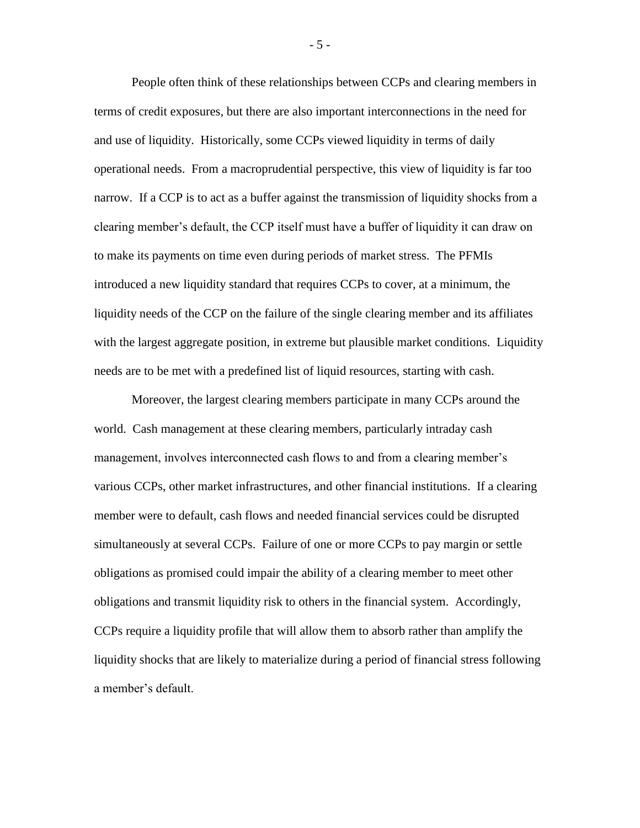People often think of these relationships between CCPs and clearing members in terms of credit exposures, but there are also important interconnections in the need for and use of liquidity. Historically, some CCPs viewed liquidity in terms of daily operational needs. From a macroprudential perspective, this view of liquidity is far too narrow. If a CCP is to act as a buffer against the transmission of liquidity shocks from a clearing member's default, the CCP itself must have a buffer of liquidity it can draw on to make its payments on time even during periods of market stress. The PFMIs introduced a new liquidity standard that requires CCPs to cover, at a minimum, the liquidity needs of the CCP on the failure of the single clearing member and its affiliates with the largest aggregate position, in extreme but plausible market conditions. Liquidity needs are to be met with a predefined list of liquid resources, starting with cash.

Moreover, the largest clearing members participate in many CCPs around the world. Cash management at these clearing members, particularly intraday cash management, involves interconnected cash flows to and from a clearing member's various CCPs, other market infrastructures, and other financial institutions. If a clearing member were to default, cash flows and needed financial services could be disrupted simultaneously at several CCPs. Failure of one or more CCPs to pay margin or settle obligations as promised could impair the ability of a clearing member to meet other obligations and transmit liquidity risk to others in the financial system. Accordingly, CCPs require a liquidity profile that will allow them to absorb rather than amplify the liquidity shocks that are likely to materialize during a period of financial stress following a member's default.

- 5 -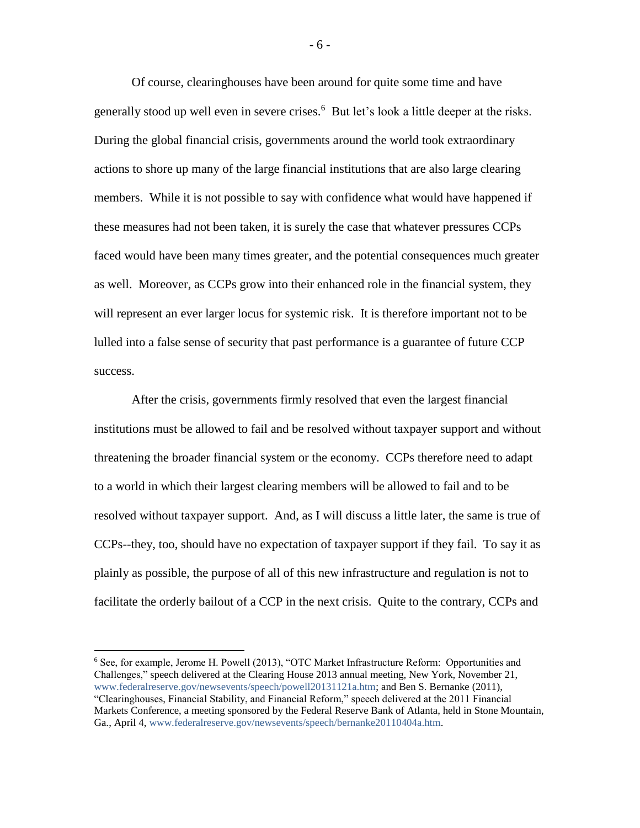Of course, clearinghouses have been around for quite some time and have generally stood up well even in severe crises.<sup>6</sup> But let's look a little deeper at the risks. During the global financial crisis, governments around the world took extraordinary actions to shore up many of the large financial institutions that are also large clearing members. While it is not possible to say with confidence what would have happened if these measures had not been taken, it is surely the case that whatever pressures CCPs faced would have been many times greater, and the potential consequences much greater as well. Moreover, as CCPs grow into their enhanced role in the financial system, they will represent an ever larger locus for systemic risk. It is therefore important not to be lulled into a false sense of security that past performance is a guarantee of future CCP success.

After the crisis, governments firmly resolved that even the largest financial institutions must be allowed to fail and be resolved without taxpayer support and without threatening the broader financial system or the economy. CCPs therefore need to adapt to a world in which their largest clearing members will be allowed to fail and to be resolved without taxpayer support. And, as I will discuss a little later, the same is true of CCPs--they, too, should have no expectation of taxpayer support if they fail. To say it as plainly as possible, the purpose of all of this new infrastructure and regulation is not to facilitate the orderly bailout of a CCP in the next crisis. Quite to the contrary, CCPs and

 $\overline{a}$ 

- 6 -

<sup>6</sup> See, for example, Jerome H. Powell (2013), "OTC Market Infrastructure Reform: Opportunities and Challenges," speech delivered at the Clearing House 2013 annual meeting, New York, November 21, [www.federalreserve.gov/newsevents/speech/powell20131121a.htm;](http://www.federalreserve.gov/newsevents/speech/powell20131121a.htm) and Ben S. Bernanke (2011), "Clearinghouses, Financial Stability, and Financial Reform," speech delivered at the 2011 Financial Markets Conference, a meeting sponsored by the Federal Reserve Bank of Atlanta, held in Stone Mountain, Ga., April 4, [www.federalreserve.gov/newsevents/speech/bernanke20110404a.htm.](http://www.federalreserve.gov/newsevents/speech/bernanke20110404a.htm)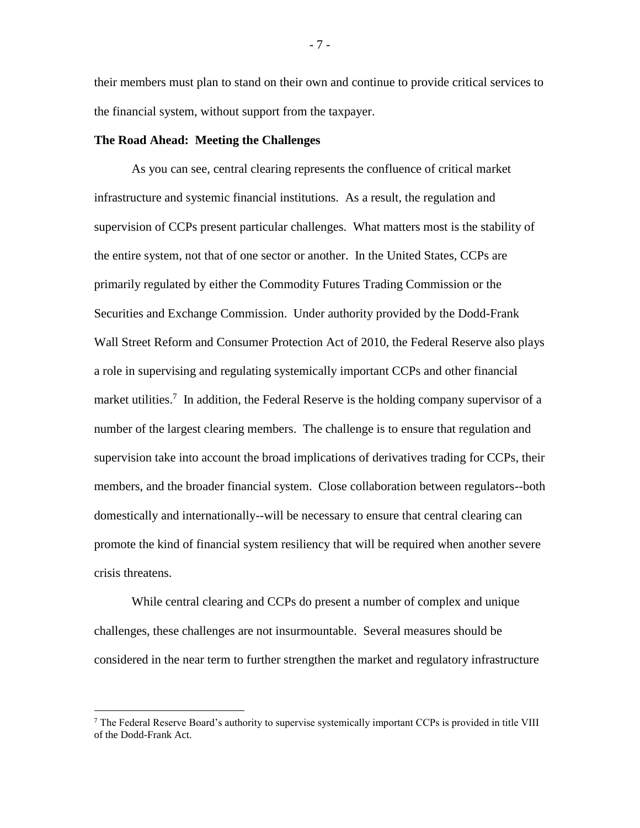their members must plan to stand on their own and continue to provide critical services to the financial system, without support from the taxpayer.

## **The Road Ahead: Meeting the Challenges**

As you can see, central clearing represents the confluence of critical market infrastructure and systemic financial institutions. As a result, the regulation and supervision of CCPs present particular challenges. What matters most is the stability of the entire system, not that of one sector or another. In the United States, CCPs are primarily regulated by either the Commodity Futures Trading Commission or the Securities and Exchange Commission. Under authority provided by the Dodd-Frank Wall Street Reform and Consumer Protection Act of 2010, the Federal Reserve also plays a role in supervising and regulating systemically important CCPs and other financial market utilities.<sup>7</sup> In addition, the Federal Reserve is the holding company supervisor of a number of the largest clearing members. The challenge is to ensure that regulation and supervision take into account the broad implications of derivatives trading for CCPs, their members, and the broader financial system. Close collaboration between regulators--both domestically and internationally--will be necessary to ensure that central clearing can promote the kind of financial system resiliency that will be required when another severe crisis threatens.

While central clearing and CCPs do present a number of complex and unique challenges, these challenges are not insurmountable. Several measures should be considered in the near term to further strengthen the market and regulatory infrastructure

 $\overline{a}$ 

- 7 -

 $<sup>7</sup>$  The Federal Reserve Board's authority to supervise systemically important CCPs is provided in title VIII</sup> of the Dodd-Frank Act.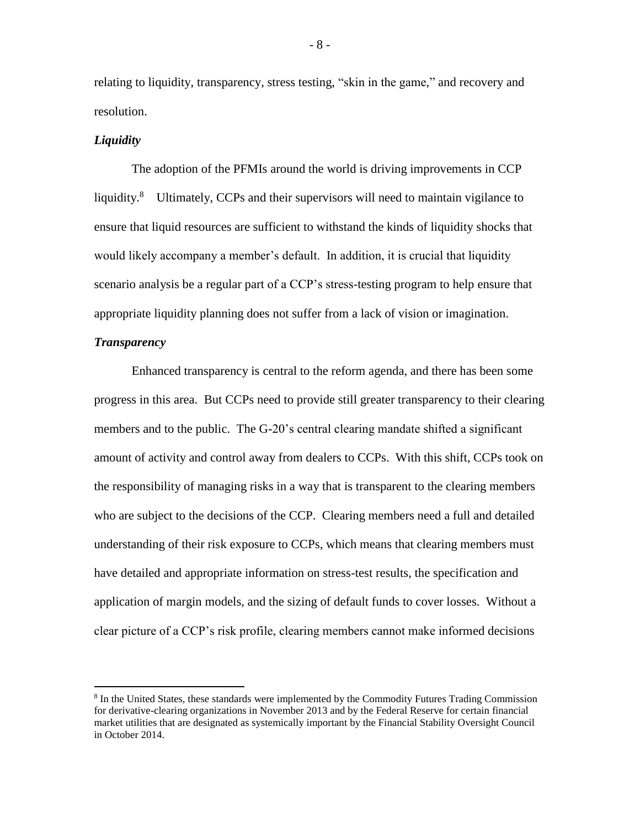relating to liquidity, transparency, stress testing, "skin in the game," and recovery and resolution.

#### *Liquidity*

The adoption of the PFMIs around the world is driving improvements in CCP liquidity.<sup>8</sup> Ultimately, CCPs and their supervisors will need to maintain vigilance to ensure that liquid resources are sufficient to withstand the kinds of liquidity shocks that would likely accompany a member's default. In addition, it is crucial that liquidity scenario analysis be a regular part of a CCP's stress-testing program to help ensure that appropriate liquidity planning does not suffer from a lack of vision or imagination.

# *Transparency*

 $\overline{a}$ 

Enhanced transparency is central to the reform agenda, and there has been some progress in this area. But CCPs need to provide still greater transparency to their clearing members and to the public. The G-20's central clearing mandate shifted a significant amount of activity and control away from dealers to CCPs. With this shift, CCPs took on the responsibility of managing risks in a way that is transparent to the clearing members who are subject to the decisions of the CCP. Clearing members need a full and detailed understanding of their risk exposure to CCPs, which means that clearing members must have detailed and appropriate information on stress-test results, the specification and application of margin models, and the sizing of default funds to cover losses. Without a clear picture of a CCP's risk profile, clearing members cannot make informed decisions

- 8 -

<sup>&</sup>lt;sup>8</sup> In the United States, these standards were implemented by the Commodity Futures Trading Commission for derivative-clearing organizations in November 2013 and by the Federal Reserve for certain financial market utilities that are designated as systemically important by the Financial Stability Oversight Council in October 2014.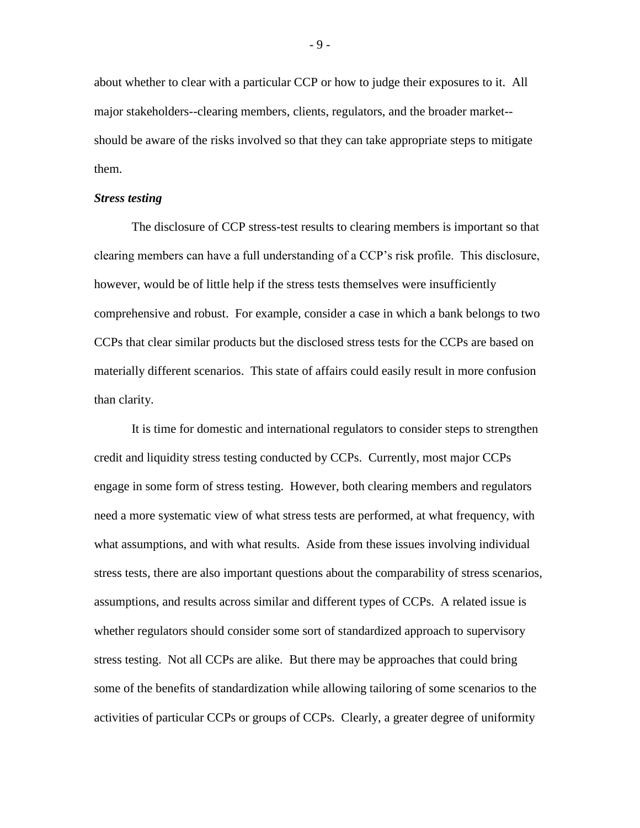about whether to clear with a particular CCP or how to judge their exposures to it. All major stakeholders--clearing members, clients, regulators, and the broader market- should be aware of the risks involved so that they can take appropriate steps to mitigate them.

#### *Stress testing*

The disclosure of CCP stress-test results to clearing members is important so that clearing members can have a full understanding of a CCP's risk profile. This disclosure, however, would be of little help if the stress tests themselves were insufficiently comprehensive and robust. For example, consider a case in which a bank belongs to two CCPs that clear similar products but the disclosed stress tests for the CCPs are based on materially different scenarios. This state of affairs could easily result in more confusion than clarity.

It is time for domestic and international regulators to consider steps to strengthen credit and liquidity stress testing conducted by CCPs. Currently, most major CCPs engage in some form of stress testing. However, both clearing members and regulators need a more systematic view of what stress tests are performed, at what frequency, with what assumptions, and with what results. Aside from these issues involving individual stress tests, there are also important questions about the comparability of stress scenarios, assumptions, and results across similar and different types of CCPs. A related issue is whether regulators should consider some sort of standardized approach to supervisory stress testing. Not all CCPs are alike. But there may be approaches that could bring some of the benefits of standardization while allowing tailoring of some scenarios to the activities of particular CCPs or groups of CCPs. Clearly, a greater degree of uniformity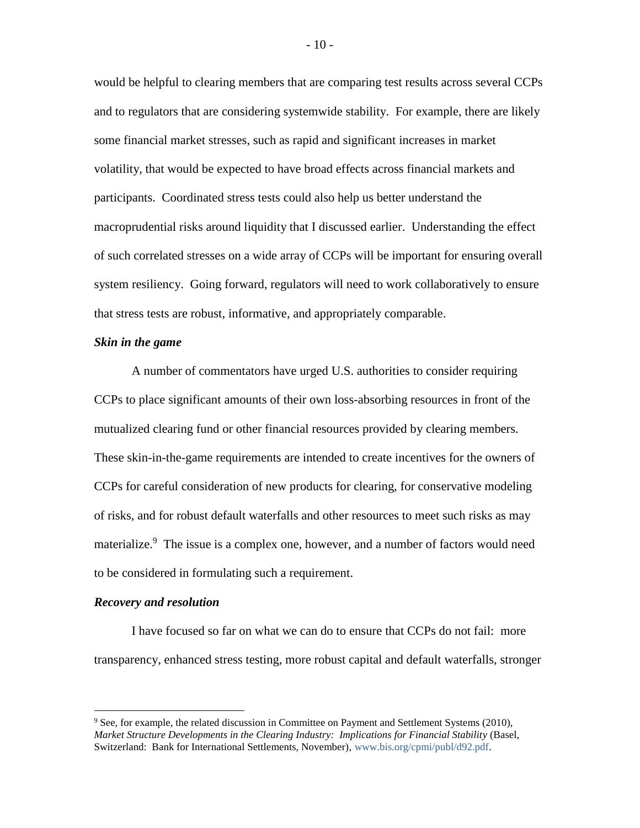would be helpful to clearing members that are comparing test results across several CCPs and to regulators that are considering systemwide stability. For example, there are likely some financial market stresses, such as rapid and significant increases in market volatility, that would be expected to have broad effects across financial markets and participants. Coordinated stress tests could also help us better understand the macroprudential risks around liquidity that I discussed earlier. Understanding the effect of such correlated stresses on a wide array of CCPs will be important for ensuring overall system resiliency. Going forward, regulators will need to work collaboratively to ensure that stress tests are robust, informative, and appropriately comparable.

### *Skin in the game*

A number of commentators have urged U.S. authorities to consider requiring CCPs to place significant amounts of their own loss-absorbing resources in front of the mutualized clearing fund or other financial resources provided by clearing members. These skin-in-the-game requirements are intended to create incentives for the owners of CCPs for careful consideration of new products for clearing, for conservative modeling of risks, and for robust default waterfalls and other resources to meet such risks as may materialize.<sup>9</sup> The issue is a complex one, however, and a number of factors would need to be considered in formulating such a requirement.

#### *Recovery and resolution*

 $\overline{a}$ 

I have focused so far on what we can do to ensure that CCPs do not fail: more transparency, enhanced stress testing, more robust capital and default waterfalls, stronger

<sup>&</sup>lt;sup>9</sup> See, for example, the related discussion in Committee on Payment and Settlement Systems (2010), *Market Structure Developments in the Clearing Industry: Implications for Financial Stability* (Basel, Switzerland: Bank for International Settlements, November), [www.bis.org/cpmi/publ/d92.pdf.](http://www.bis.org/cpmi/publ/d92.pdf)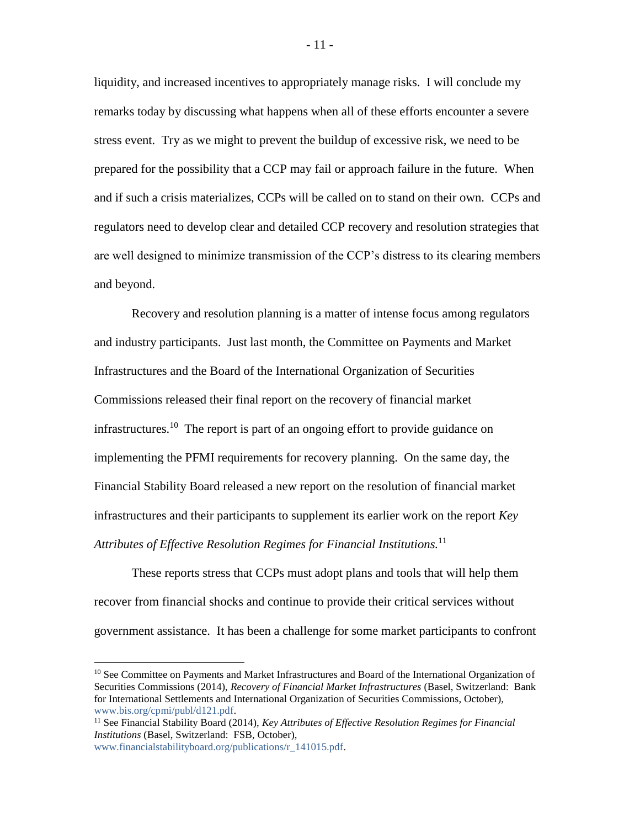liquidity, and increased incentives to appropriately manage risks. I will conclude my remarks today by discussing what happens when all of these efforts encounter a severe stress event. Try as we might to prevent the buildup of excessive risk, we need to be prepared for the possibility that a CCP may fail or approach failure in the future. When and if such a crisis materializes, CCPs will be called on to stand on their own. CCPs and regulators need to develop clear and detailed CCP recovery and resolution strategies that are well designed to minimize transmission of the CCP's distress to its clearing members and beyond.

Recovery and resolution planning is a matter of intense focus among regulators and industry participants. Just last month, the Committee on Payments and Market Infrastructures and the Board of the International Organization of Securities Commissions released their final report on the recovery of financial market infrastructures.<sup>10</sup> The report is part of an ongoing effort to provide guidance on implementing the PFMI requirements for recovery planning. On the same day, the Financial Stability Board released a new report on the resolution of financial market infrastructures and their participants to supplement its earlier work on the report *Key Attributes of Effective Resolution Regimes for Financial Institutions.*<sup>11</sup>

These reports stress that CCPs must adopt plans and tools that will help them recover from financial shocks and continue to provide their critical services without government assistance. It has been a challenge for some market participants to confront

 $\overline{a}$ 

- 11 -

<sup>&</sup>lt;sup>10</sup> See Committee on Payments and Market Infrastructures and Board of the International Organization of Securities Commissions (2014), *Recovery of Financial Market Infrastructures* (Basel, Switzerland: Bank for International Settlements and International Organization of Securities Commissions, October), [www.bis.org/cpmi/publ/d121.pdf.](http://www.bis.org/cpmi/publ/d121.pdf)

<sup>&</sup>lt;sup>11</sup> See Financial Stability Board (2014), *Key Attributes of Effective Resolution Regimes for Financial Institutions* (Basel, Switzerland: FSB, October),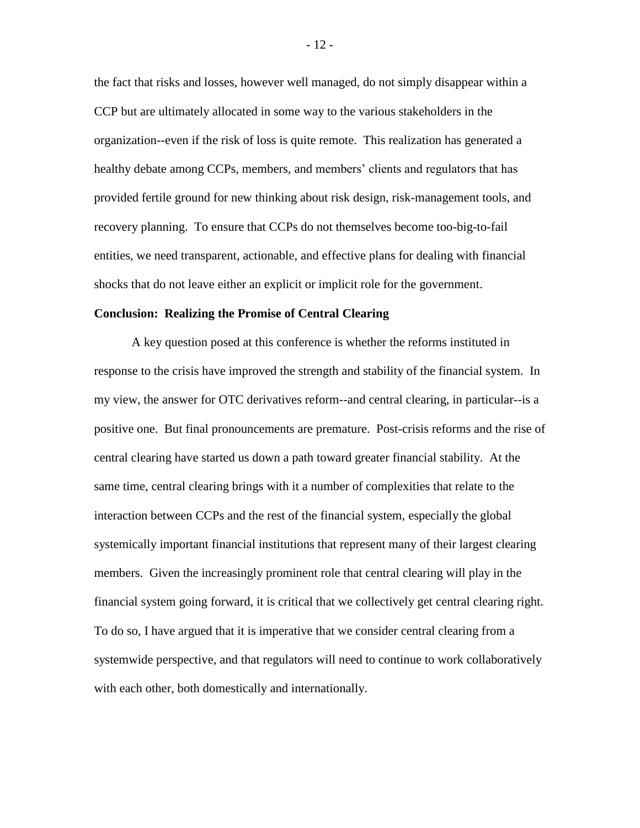the fact that risks and losses, however well managed, do not simply disappear within a CCP but are ultimately allocated in some way to the various stakeholders in the organization--even if the risk of loss is quite remote. This realization has generated a healthy debate among CCPs, members, and members' clients and regulators that has provided fertile ground for new thinking about risk design, risk-management tools, and recovery planning. To ensure that CCPs do not themselves become too-big-to-fail entities, we need transparent, actionable, and effective plans for dealing with financial shocks that do not leave either an explicit or implicit role for the government.

## **Conclusion: Realizing the Promise of Central Clearing**

A key question posed at this conference is whether the reforms instituted in response to the crisis have improved the strength and stability of the financial system. In my view, the answer for OTC derivatives reform--and central clearing, in particular--is a positive one. But final pronouncements are premature. Post-crisis reforms and the rise of central clearing have started us down a path toward greater financial stability. At the same time, central clearing brings with it a number of complexities that relate to the interaction between CCPs and the rest of the financial system, especially the global systemically important financial institutions that represent many of their largest clearing members. Given the increasingly prominent role that central clearing will play in the financial system going forward, it is critical that we collectively get central clearing right. To do so, I have argued that it is imperative that we consider central clearing from a systemwide perspective, and that regulators will need to continue to work collaboratively with each other, both domestically and internationally.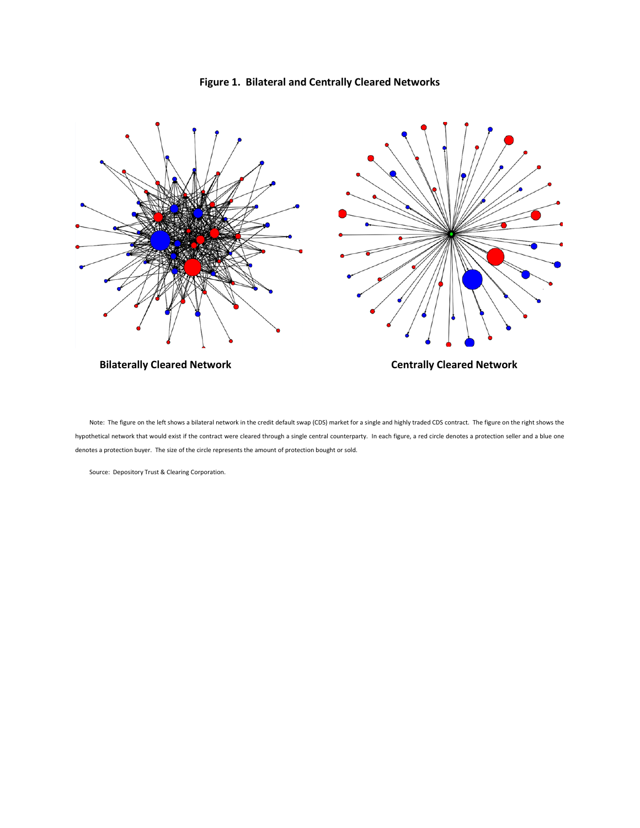

Note: The figure on the left shows a bilateral network in the credit default swap (CDS) market for a single and highly traded CDS contract. The figure on the right shows the hypothetical network that would exist if the contract were cleared through a single central counterparty. In each figure, a red circle denotes a protection seller and a blue one denotes a protection buyer. The size of the circle represents the amount of protection bought or sold.

**Bilaterally Cleared Network Centrally Cleared Network Centrally Cleared Network** 

Source: Depository Trust & Clearing Corporation.

**Figure 1. Bilateral and Centrally Cleared Networks**